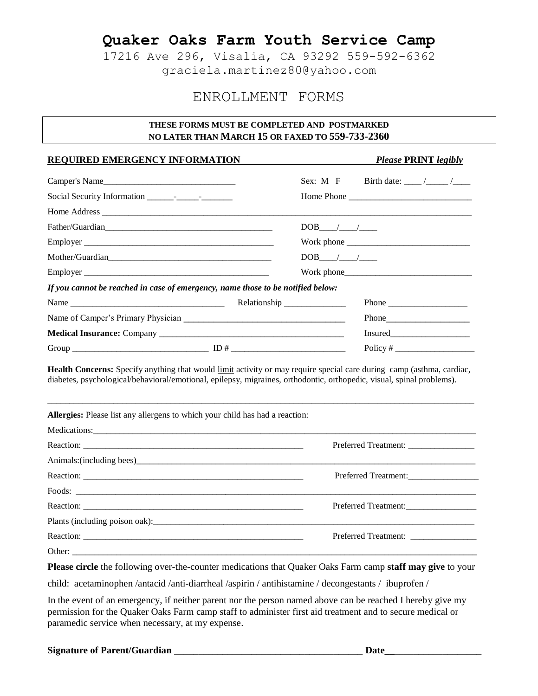17216 Ave 296, Visalia, CA 93292 559-592-6362 graciela.martinez80@yahoo.com

### ENROLLMENT FORMS

#### **THESE FORMS MUST BE COMPLETED AND POSTMARKED NO LATER THAN MARCH 15 OR FAXED TO 559-733-2360**

#### **REQUIRED EMERGENCY INFORMATION** *Please* **PRINT** *legibly*

| Camper's Name                                                                   | Sex: M F<br>Birth date: $\frac{1}{\sqrt{2\pi}}$                                                                                                                                                                                                                       |
|---------------------------------------------------------------------------------|-----------------------------------------------------------------------------------------------------------------------------------------------------------------------------------------------------------------------------------------------------------------------|
|                                                                                 |                                                                                                                                                                                                                                                                       |
|                                                                                 |                                                                                                                                                                                                                                                                       |
|                                                                                 | $DOB$ / /                                                                                                                                                                                                                                                             |
|                                                                                 | Work phone $\frac{1}{2}$ Monthly and $\frac{1}{2}$ Monthly and $\frac{1}{2}$ Monthly and $\frac{1}{2}$ Monthly and $\frac{1}{2}$ Monthly and $\frac{1}{2}$ Monthly and $\frac{1}{2}$ Monthly and $\frac{1}{2}$ Monthly and $\frac{1}{2}$ Monthly and $\frac{1}{2}$ Mo |
| Mother/Guardian                                                                 | $DOB$ / /                                                                                                                                                                                                                                                             |
| Employer                                                                        | Work phone                                                                                                                                                                                                                                                            |
| If you cannot be reached in case of emergency, name those to be notified below: |                                                                                                                                                                                                                                                                       |
|                                                                                 | Phone                                                                                                                                                                                                                                                                 |
|                                                                                 |                                                                                                                                                                                                                                                                       |
|                                                                                 |                                                                                                                                                                                                                                                                       |
|                                                                                 |                                                                                                                                                                                                                                                                       |
| Allergies: Please list any allergens to which your child has had a reaction:    | diabetes, psychological/behavioral/emotional, epilepsy, migraines, orthodontic, orthopedic, visual, spinal problems).                                                                                                                                                 |
|                                                                                 |                                                                                                                                                                                                                                                                       |
| Preferred Treatment:                                                            |                                                                                                                                                                                                                                                                       |
|                                                                                 |                                                                                                                                                                                                                                                                       |
|                                                                                 | Preferred Treatment:                                                                                                                                                                                                                                                  |
| Foods:                                                                          |                                                                                                                                                                                                                                                                       |
|                                                                                 | Preferred Treatment:                                                                                                                                                                                                                                                  |
|                                                                                 |                                                                                                                                                                                                                                                                       |
|                                                                                 |                                                                                                                                                                                                                                                                       |
| Other:                                                                          |                                                                                                                                                                                                                                                                       |

**Please circle** the following over-the-counter medications that Quaker Oaks Farm camp **staff may give** to your

child: acetaminophen /antacid /anti-diarrheal /aspirin / antihistamine / decongestants / ibuprofen /

In the event of an emergency, if neither parent nor the person named above can be reached I hereby give my permission for the Quaker Oaks Farm camp staff to administer first aid treatment and to secure medical or paramedic service when necessary, at my expense.

**Signature of Parent/Guardian** \_\_\_\_\_\_\_\_\_\_\_\_\_\_\_\_\_\_\_\_\_\_\_\_\_\_\_\_\_\_\_\_\_\_\_\_\_\_\_ **Date\_\_**\_\_\_\_\_\_\_\_\_\_\_\_\_\_\_\_\_\_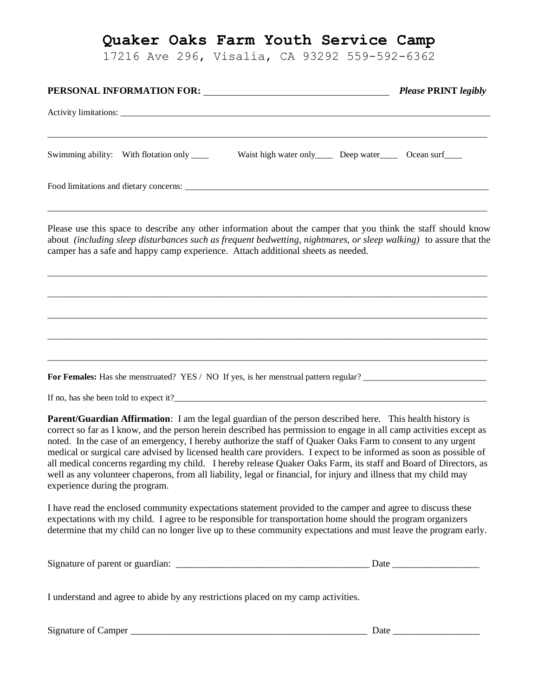17216 Ave 296, Visalia, CA 93292 559-592-6362

|                                                                                                                                                                                                                                                                                                                                                                                                                                                                                                                                                                                                                                                                                                                                                           | <b>Please PRINT</b> legibly |
|-----------------------------------------------------------------------------------------------------------------------------------------------------------------------------------------------------------------------------------------------------------------------------------------------------------------------------------------------------------------------------------------------------------------------------------------------------------------------------------------------------------------------------------------------------------------------------------------------------------------------------------------------------------------------------------------------------------------------------------------------------------|-----------------------------|
|                                                                                                                                                                                                                                                                                                                                                                                                                                                                                                                                                                                                                                                                                                                                                           |                             |
| Waist high water only Deep water Ocean surf<br>Swimming ability: With flotation only _____                                                                                                                                                                                                                                                                                                                                                                                                                                                                                                                                                                                                                                                                |                             |
|                                                                                                                                                                                                                                                                                                                                                                                                                                                                                                                                                                                                                                                                                                                                                           |                             |
| Please use this space to describe any other information about the camper that you think the staff should know<br>about (including sleep disturbances such as frequent bedwetting, nightmares, or sleep walking) to assure that the<br>camper has a safe and happy camp experience. Attach additional sheets as needed.                                                                                                                                                                                                                                                                                                                                                                                                                                    |                             |
|                                                                                                                                                                                                                                                                                                                                                                                                                                                                                                                                                                                                                                                                                                                                                           |                             |
|                                                                                                                                                                                                                                                                                                                                                                                                                                                                                                                                                                                                                                                                                                                                                           |                             |
| For Females: Has she menstruated? YES / NO If yes, is her menstrual pattern regular?                                                                                                                                                                                                                                                                                                                                                                                                                                                                                                                                                                                                                                                                      |                             |
| If no, has she been told to expect it?                                                                                                                                                                                                                                                                                                                                                                                                                                                                                                                                                                                                                                                                                                                    |                             |
| <b>Parent/Guardian Affirmation:</b> I am the legal guardian of the person described here. This health history is<br>correct so far as I know, and the person herein described has permission to engage in all camp activities except as<br>noted. In the case of an emergency, I hereby authorize the staff of Quaker Oaks Farm to consent to any urgent<br>medical or surgical care advised by licensed health care providers. I expect to be informed as soon as possible of<br>all medical concerns regarding my child. I hereby release Quaker Oaks Farm, its staff and Board of Directors, as<br>well as any volunteer chaperons, from all liability, legal or financial, for injury and illness that my child may<br>experience during the program. |                             |
| I have read the enclosed community expectations statement provided to the camper and agree to discuss these<br>expectations with my child. I agree to be responsible for transportation home should the program organizers<br>determine that my child can no longer live up to these community expectations and must leave the program early.                                                                                                                                                                                                                                                                                                                                                                                                             |                             |

| Signature of parent or guardian: | .)ate |
|----------------------------------|-------|
|                                  |       |
|                                  |       |

I understand and agree to abide by any restrictions placed on my camp activities.

Signature of Camper \_\_\_\_\_\_\_\_\_\_\_\_\_\_\_\_\_\_\_\_\_\_\_\_\_\_\_\_\_\_\_\_\_\_\_\_\_\_\_\_\_\_\_\_\_\_\_\_\_ Date \_\_\_\_\_\_\_\_\_\_\_\_\_\_\_\_\_\_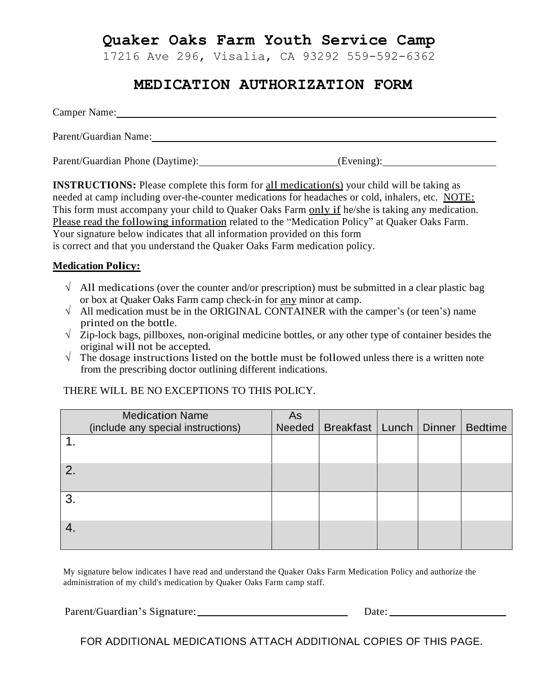17216 Ave 296, Visalia, CA 93292 559-592-6362

## **MEDICATION AUTHORIZATION FORM**

Camper Name: 2008 Camper Name: Parent/Guardian Name:

| Parent/Guardian Phone (Daytime): | (Evening): |
|----------------------------------|------------|
|----------------------------------|------------|

**INSTRUCTIONS:** Please complete this form for all medication(s) your child will be taking as needed at camp including over-the-counter medications for headaches or cold, inhalers, etc. NOTE: This form must accompany your child to Quaker Oaks Farm only if he/she is taking any medication. Please read the following information related to the "Medication Policy" at Quaker Oaks Farm. Your signature below indicates that all information provided on this form is correct and that you understand the Quaker Oaks Farm medication policy.

### **Medication Policy:**

- $\sqrt{\phantom{a}}$  All medications (over the counter and/or prescription) must be submitted in a clear plastic bag or box at Quaker Oaks Farm camp check-in for any minor at camp.
- √ All medication must be in the ORIGINAL CONTAINER with the camper's (or teen's) name printed on the bottle.
- $\sqrt{\frac{1}{2}}$  Zip-lock bags, pillboxes, non-original medicine bottles, or any other type of container besides the original will not be accepted.
- $\sqrt{\frac{1}{\pi}}$  The dosage instructions listed on the bottle must be followed unless there is a written note from the prescribing doctor outlining different indications.

### THERE WILL BE NO EXCEPTIONS TO THIS POLICY.

|               | <b>Medication Name</b>             | As |                                     |  |                |
|---------------|------------------------------------|----|-------------------------------------|--|----------------|
|               | (include any special instructions) |    | Needed   Breakfast   Lunch   Dinner |  | <b>Bedtime</b> |
|               |                                    |    |                                     |  |                |
|               |                                    |    |                                     |  |                |
| $\mathcal{P}$ |                                    |    |                                     |  |                |
|               |                                    |    |                                     |  |                |
| 3.            |                                    |    |                                     |  |                |
|               |                                    |    |                                     |  |                |
|               |                                    |    |                                     |  |                |
|               |                                    |    |                                     |  |                |

My signature below indicates I have read and understand the Quaker Oaks Farm Medication Policy and authorize the administration of my child's medication by Quaker Oaks Farm camp staff.

Parent/Guardian's Signature: Date:

FOR ADDITIONAL MEDICATIONS ATTACH ADDITIONAL COPIES OF THIS PAGE.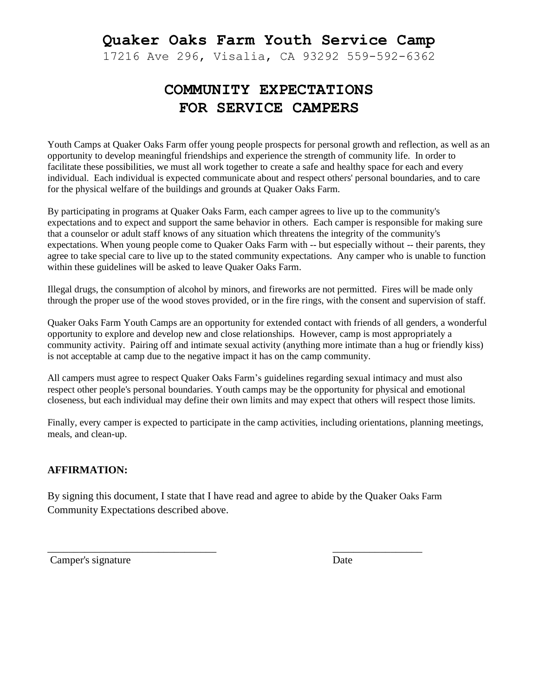17216 Ave 296, Visalia, CA 93292 559-592-6362

# **COMMUNITY EXPECTATIONS FOR SERVICE CAMPERS**

Youth Camps at Quaker Oaks Farm offer young people prospects for personal growth and reflection, as well as an opportunity to develop meaningful friendships and experience the strength of community life. In order to facilitate these possibilities, we must all work together to create a safe and healthy space for each and every individual. Each individual is expected communicate about and respect others' personal boundaries, and to care for the physical welfare of the buildings and grounds at Quaker Oaks Farm.

By participating in programs at Quaker Oaks Farm, each camper agrees to live up to the community's expectations and to expect and support the same behavior in others. Each camper is responsible for making sure that a counselor or adult staff knows of any situation which threatens the integrity of the community's expectations. When young people come to Quaker Oaks Farm with -- but especially without -- their parents, they agree to take special care to live up to the stated community expectations. Any camper who is unable to function within these guidelines will be asked to leave Quaker Oaks Farm.

Illegal drugs, the consumption of alcohol by minors, and fireworks are not permitted. Fires will be made only through the proper use of the wood stoves provided, or in the fire rings, with the consent and supervision of staff.

Quaker Oaks Farm Youth Camps are an opportunity for extended contact with friends of all genders, a wonderful opportunity to explore and develop new and close relationships. However, camp is most appropriately a community activity. Pairing off and intimate sexual activity (anything more intimate than a hug or friendly kiss) is not acceptable at camp due to the negative impact it has on the camp community.

All campers must agree to respect Quaker Oaks Farm's guidelines regarding sexual intimacy and must also respect other people's personal boundaries. Youth camps may be the opportunity for physical and emotional closeness, but each individual may define their own limits and may expect that others will respect those limits.

Finally, every camper is expected to participate in the camp activities, including orientations, planning meetings, meals, and clean-up.

### **AFFIRMATION:**

By signing this document, I state that I have read and agree to abide by the Quaker Oaks Farm Community Expectations described above.

\_\_\_\_\_\_\_\_\_\_\_\_\_\_\_\_\_\_\_\_\_\_\_\_\_\_\_\_\_\_\_\_ \_\_\_\_\_\_\_\_\_\_\_\_\_\_\_\_\_

Camper's signature Date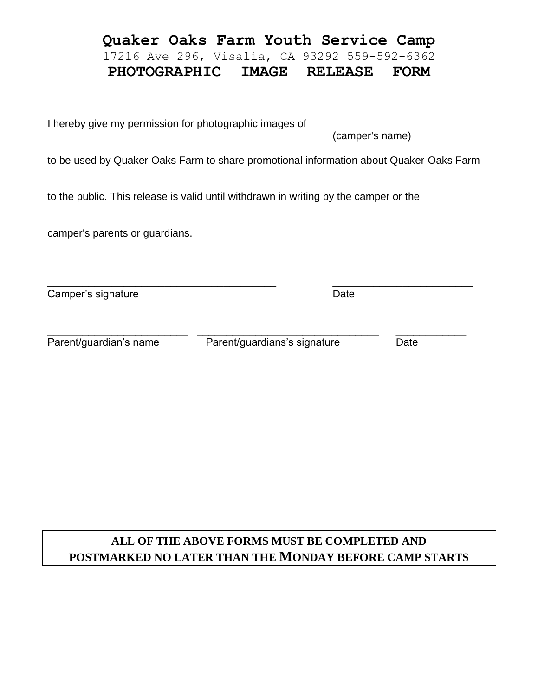### **Quaker Oaks Farm Youth Service Camp** 17216 Ave 296, Visalia, CA 93292 559-592-6362

# **PHOTOGRAPHIC IMAGE RELEASE FORM**

I hereby give my permission for photographic images of (camper's name)

to be used by Quaker Oaks Farm to share promotional information about Quaker Oaks Farm

to the public. This release is valid until withdrawn in writing by the camper or the

camper's parents or guardians.

\_\_\_\_\_\_\_\_\_\_\_\_\_\_\_\_\_\_\_\_\_\_\_\_\_\_\_\_\_\_\_\_\_\_\_\_\_\_\_ \_\_\_\_\_\_\_\_\_\_\_\_\_\_\_\_\_\_\_\_\_\_\_\_ Camper's signature Date

Parent/guardian's name Parent/guardians's signature Date

\_\_\_\_\_\_\_\_\_\_\_\_\_\_\_\_\_\_\_\_\_\_\_\_ \_\_\_\_\_\_\_\_\_\_\_\_\_\_\_\_\_\_\_\_\_\_\_\_\_\_\_\_\_\_\_ \_\_\_\_\_\_\_\_\_\_\_\_

## **ALL OF THE ABOVE FORMS MUST BE COMPLETED AND POSTMARKED NO LATER THAN THE MONDAY BEFORE CAMP STARTS**